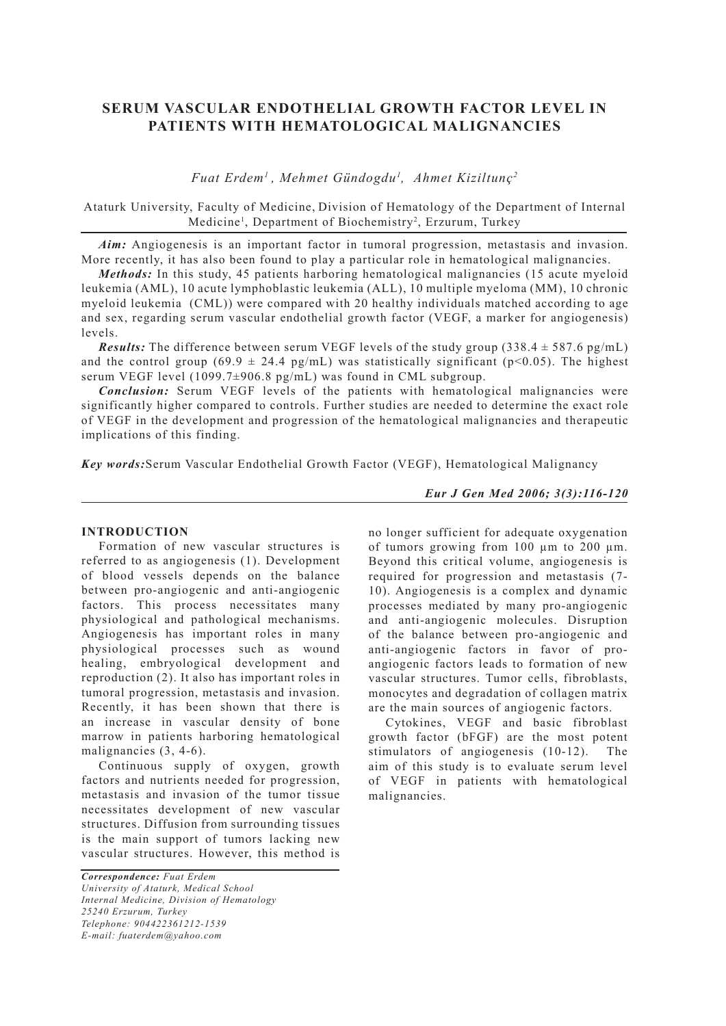# **SERUM VASCULAR ENDOTHELIAL GROWTH FACTOR LEVEL IN PATIENTS WITH HEMATOLOGICAL MALIGNANCIES**

*Fuat Erdem1 , Mehmet Gündogdu1 , Ahmet Kiziltunç2*

Ataturk University, Faculty of Medicine, Division of Hematology of the Department of Internal Medicine<sup>1</sup>, Department of Biochemistry<sup>2</sup>, Erzurum, Turkey

*Aim:* Angiogenesis is an important factor in tumoral progression, metastasis and invasion. More recently, it has also been found to play a particular role in hematological malignancies.

*Methods:* In this study, 45 patients harboring hematological malignancies (15 acute myeloid leukemia (AML), 10 acute lymphoblastic leukemia (ALL), 10 multiple myeloma (MM), 10 chronic myeloid leukemia (CML)) were compared with 20 healthy individuals matched according to age and sex, regarding serum vascular endothelial growth factor (VEGF, a marker for angiogenesis) levels.

*Results:* The difference between serum VEGF levels of the study group  $(338.4 \pm 587.6 \text{ pg/mL})$ and the control group (69.9  $\pm$  24.4 pg/mL) was statistically significant (p<0.05). The highest serum VEGF level (1099.7±906.8 pg/mL) was found in CML subgroup.

*Conclusion:* Serum VEGF levels of the patients with hematological malignancies were significantly higher compared to controls. Further studies are needed to determine the exact role of VEGF in the development and progression of the hematological malignancies and therapeutic implications of this finding.

*Key words:*Serum Vascular Endothelial Growth Factor (VEGF), Hematological Malignancy

### **INTRODUCTION**

Formation of new vascular structures is referred to as angiogenesis (1). Development of blood vessels depends on the balance between pro-angiogenic and anti-angiogenic factors. This process necessitates many physiological and pathological mechanisms. Angiogenesis has important roles in many physiological processes such as wound healing, embryological development and reproduction (2). It also has important roles in tumoral progression, metastasis and invasion. Recently, it has been shown that there is an increase in vascular density of bone marrow in patients harboring hematological malignancies (3, 4-6).

Continuous supply of oxygen, growth factors and nutrients needed for progression, metastasis and invasion of the tumor tissue necessitates development of new vascular structures. Diffusion from surrounding tissues is the main support of tumors lacking new vascular structures. However, this method is

*Correspondence: Fuat Erdem University of Ataturk, Medical School Internal Medicine, Division of Hematology 25240 Erzurum, Turkey Telephone: 904422361212-1539 E-mail: fuaterdem@yahoo.com*

*Eur J Gen Med 2006; 3(3):116-120*

no longer sufficient for adequate oxygenation of tumors growing from 100 µm to 200 µm. Beyond this critical volume, angiogenesis is required for progression and metastasis (7- 10). Angiogenesis is a complex and dynamic processes mediated by many pro-angiogenic and anti-angiogenic molecules. Disruption of the balance between pro-angiogenic and anti-angiogenic factors in favor of proangiogenic factors leads to formation of new vascular structures. Tumor cells, fibroblasts, monocytes and degradation of collagen matrix are the main sources of angiogenic factors.

Cytokines, VEGF and basic fibroblast growth factor (bFGF) are the most potent stimulators of angiogenesis (10-12). The aim of this study is to evaluate serum level of VEGF in patients with hematological malignancies.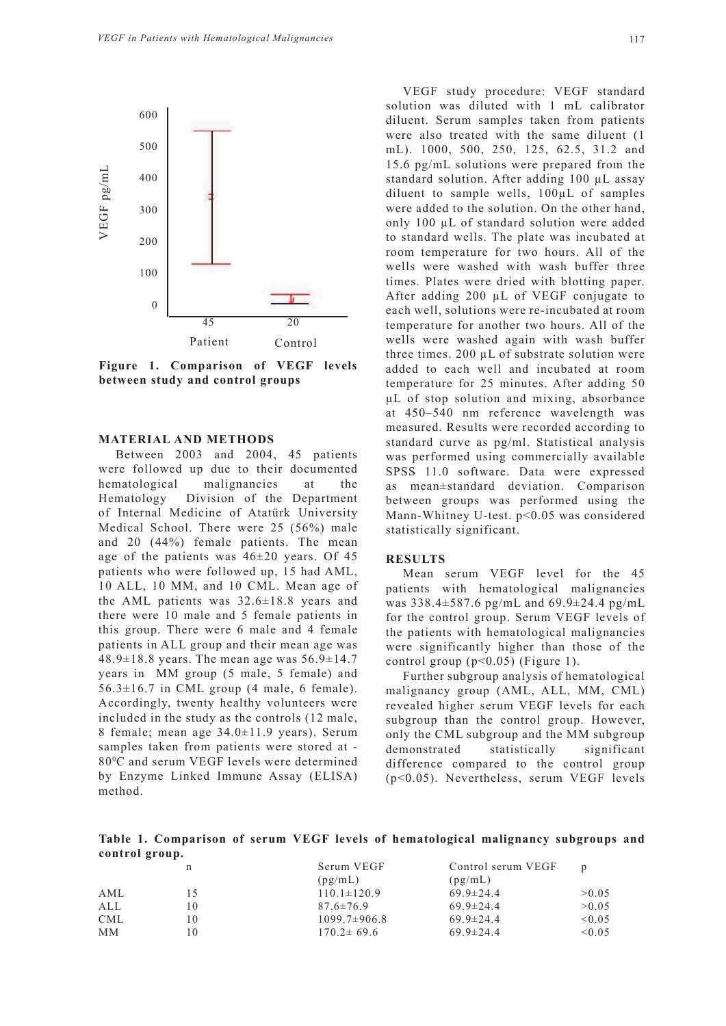

**Figure 1. Comparison of VEGF levels between study and control groups**

#### **MATERIAL AND METHODS**

Between 2003 and 2004, 45 patients were followed up due to their documented hematological malignancies at the Hematology Division of the Department of Internal Medicine of Atatürk University Medical School. There were 25 (56%) male and 20 (44%) female patients. The mean age of the patients was  $46\pm20$  years. Of 45 patients who were followed up, 15 had AML, 10 ALL, 10 MM, and 10 CML. Mean age of the AML patients was 32.6±18.8 years and there were 10 male and 5 female patients in this group. There were 6 male and 4 female patients in ALL group and their mean age was 48.9 $\pm$ 18.8 years. The mean age was 56.9 $\pm$ 14.7 years in MM group (5 male, 5 female) and  $56.3 \pm 16.7$  in CML group (4 male, 6 female). Accordingly, twenty healthy volunteers were included in the study as the controls (12 male, 8 female; mean age 34.0±11.9 years). Serum samples taken from patients were stored at - 800 C and serum VEGF levels were determined by Enzyme Linked Immune Assay (ELISA) method.

VEGF study procedure: VEGF standard solution was diluted with 1 mL calibrator diluent. Serum samples taken from patients were also treated with the same diluent (1 mL). 1000, 500, 250, 125, 62.5, 31.2 and 15.6 pg/mL solutions were prepared from the standard solution. After adding 100 µL assay diluent to sample wells, 100µL of samples were added to the solution. On the other hand, only 100 µL of standard solution were added to standard wells. The plate was incubated at room temperature for two hours. All of the wells were washed with wash buffer three times. Plates were dried with blotting paper. After adding 200 µL of VEGF conjugate to each well, solutions were re-incubated at room temperature for another two hours. All of the wells were washed again with wash buffer three times. 200 µL of substrate solution were added to each well and incubated at room temperature for 25 minutes. After adding 50 µL of stop solution and mixing, absorbance at 450–540 nm reference wavelength was measured. Results were recorded according to standard curve as pg/ml. Statistical analysis was performed using commercially available SPSS 11.0 software. Data were expressed as mean±standard deviation. Comparison between groups was performed using the Mann-Whitney U-test. p<0.05 was considered statistically significant.

## **RESULTS**

Mean serum VEGF level for the 45 patients with hematological malignancies was 338.4±587.6 pg/mL and 69.9±24.4 pg/mL for the control group. Serum VEGF levels of the patients with hematological malignancies were significantly higher than those of the control group  $(p<0.05)$  (Figure 1).

Further subgroup analysis of hematological malignancy group (AML, ALL, MM, CML) revealed higher serum VEGF levels for each subgroup than the control group. However, only the CML subgroup and the MM subgroup demonstrated statistically significant difference compared to the control group (p<0.05). Nevertheless, serum VEGF levels

**Table 1. Comparison of serum VEGF levels of hematological malignancy subgroups and control group.**

|            | n  | Serum VEGF         | Control serum VEGF | D           |
|------------|----|--------------------|--------------------|-------------|
|            |    | (pg/mL)            | (pg/mL)            |             |
| AML        |    | $110.1 \pm 120.9$  | $69.9 \pm 24.4$    | >0.05       |
| ALL        | 10 | $87.6 \pm 76.9$    | $69.9 \pm 24.4$    | >0.05       |
| <b>CML</b> | 10 | $1099.7 \pm 906.8$ | $69.9 \pm 24.4$    | < 0.05      |
| MМ         | 10 | $170.2 \pm 69.6$   | $69.9 \pm 24.4$    | $\leq 0.05$ |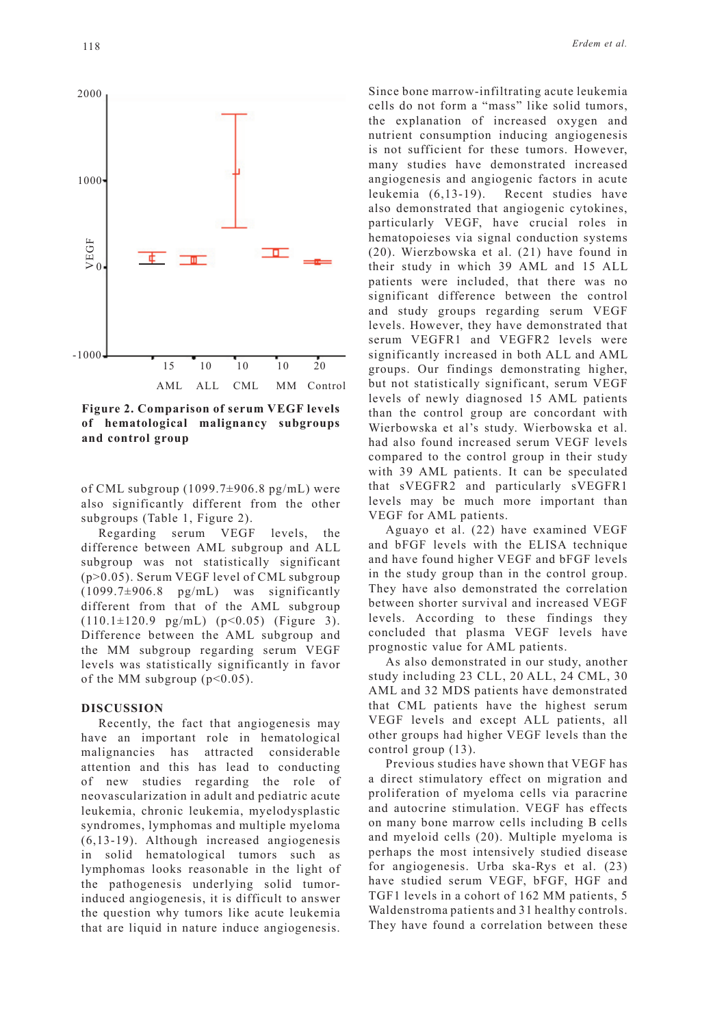

**Figure 2. Comparison of serum VEGF levels of hematological malignancy subgroups and control group**

of CML subgroup (1099.7±906.8 pg/mL) were also significantly different from the other subgroups (Table 1, Figure 2).

Regarding serum VEGF levels, the difference between AML subgroup and ALL subgroup was not statistically significant (p>0.05). Serum VEGF level of CML subgroup  $(1099.7\pm906.8 \text{ pg/mL})$  was significantly different from that of the AML subgroup  $(110.1 \pm 120.9 \text{ pg/mL})$   $(p<0.05)$  (Figure 3). Difference between the AML subgroup and the MM subgroup regarding serum VEGF levels was statistically significantly in favor of the MM subgroup  $(p<0.05)$ .

#### **DISCUSSION**

Recently, the fact that angiogenesis may have an important role in hematological malignancies has attracted considerable attention and this has lead to conducting of new studies regarding the role of neovascularization in adult and pediatric acute leukemia, chronic leukemia, myelodysplastic syndromes, lymphomas and multiple myeloma (6,13-19). Although increased angiogenesis in solid hematological tumors such as lymphomas looks reasonable in the light of the pathogenesis underlying solid tumorinduced angiogenesis, it is difficult to answer the question why tumors like acute leukemia that are liquid in nature induce angiogenesis.

Since bone marrow-infiltrating acute leukemia cells do not form a "mass" like solid tumors, the explanation of increased oxygen and nutrient consumption inducing angiogenesis is not sufficient for these tumors. However, many studies have demonstrated increased angiogenesis and angiogenic factors in acute leukemia (6,13-19). Recent studies have also demonstrated that angiogenic cytokines, particularly VEGF, have crucial roles in hematopoieses via signal conduction systems (20). Wierzbowska et al. (21) have found in their study in which 39 AML and 15 ALL patients were included, that there was no significant difference between the control and study groups regarding serum VEGF levels. However, they have demonstrated that serum VEGFR1 and VEGFR2 levels were significantly increased in both ALL and AML groups. Our findings demonstrating higher, but not statistically significant, serum VEGF levels of newly diagnosed 15 AML patients than the control group are concordant with Wierbowska et al's study. Wierbowska et al. had also found increased serum VEGF levels compared to the control group in their study with 39 AML patients. It can be speculated that sVEGFR2 and particularly sVEGFR1 levels may be much more important than VEGF for AML patients.

Aguayo et al. (22) have examined VEGF and bFGF levels with the ELISA technique and have found higher VEGF and bFGF levels in the study group than in the control group. They have also demonstrated the correlation between shorter survival and increased VEGF levels. According to these findings they concluded that plasma VEGF levels have prognostic value for AML patients.

As also demonstrated in our study, another study including 23 CLL, 20 ALL, 24 CML, 30 AML and 32 MDS patients have demonstrated that CML patients have the highest serum VEGF levels and except ALL patients, all other groups had higher VEGF levels than the control group (13).

Previous studies have shown that VEGF has a direct stimulatory effect on migration and proliferation of myeloma cells via paracrine and autocrine stimulation. VEGF has effects on many bone marrow cells including B cells and myeloid cells (20). Multiple myeloma is perhaps the most intensively studied disease for angiogenesis. Urba ska-Rys et al. (23) have studied serum VEGF, bFGF, HGF and TGF1 levels in a cohort of 162 MM patients, 5 Waldenstroma patients and 31 healthy controls. They have found a correlation between these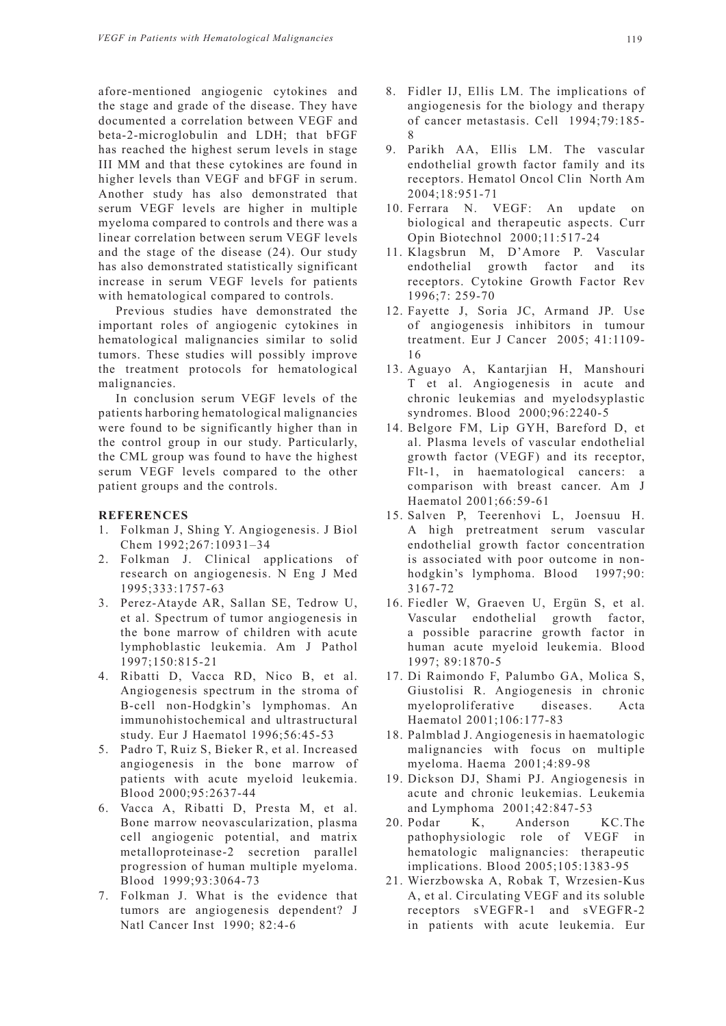afore-mentioned angiogenic cytokines and the stage and grade of the disease. They have documented a correlation between VEGF and beta-2-microglobulin and LDH; that bFGF has reached the highest serum levels in stage III MM and that these cytokines are found in higher levels than VEGF and bFGF in serum. Another study has also demonstrated that serum VEGF levels are higher in multiple myeloma compared to controls and there was a linear correlation between serum VEGF levels and the stage of the disease (24). Our study has also demonstrated statistically significant increase in serum VEGF levels for patients with hematological compared to controls.

Previous studies have demonstrated the important roles of angiogenic cytokines in hematological malignancies similar to solid tumors. These studies will possibly improve the treatment protocols for hematological malignancies.

In conclusion serum VEGF levels of the patients harboring hematological malignancies were found to be significantly higher than in the control group in our study. Particularly, the CML group was found to have the highest serum VEGF levels compared to the other patient groups and the controls.

## **REFERENCES**

- 1. Folkman J, Shing Y. Angiogenesis. J Biol Chem 1992;267:10931–34
- 2. Folkman J. Clinical applications of research on angiogenesis. N Eng J Med 1995;333:1757-63
- 3. Perez-Atayde AR, Sallan SE, Tedrow U, et al. Spectrum of tumor angiogenesis in the bone marrow of children with acute lymphoblastic leukemia. Am J Pathol 1997;150:815-21
- 4. Ribatti D, Vacca RD, Nico B, et al. Angiogenesis spectrum in the stroma of B-cell non-Hodgkin's lymphomas. An immunohistochemical and ultrastructural study. Eur J Haematol 1996;56:45-53
- 5. Padro T, Ruiz S, Bieker R, et al. Increased angiogenesis in the bone marrow of patients with acute myeloid leukemia. Blood 2000;95:2637-44
- 6. Vacca A, Ribatti D, Presta M, et al. Bone marrow neovascularization, plasma cell angiogenic potential, and matrix metalloproteinase-2 secretion parallel progression of human multiple myeloma. Blood 1999;93:3064-73
- 7. Folkman J. What is the evidence that tumors are angiogenesis dependent? J Natl Cancer Inst 1990; 82:4-6
- 8. Fidler IJ, Ellis LM. The implications of angiogenesis for the biology and therapy of cancer metastasis. Cell 1994;79:185- 8
- 9. Parikh AA, Ellis LM. The vascular endothelial growth factor family and its receptors. Hematol Oncol Clin North Am 2004;18:951-71
- 10. Ferrara N. VEGF: An update on biological and therapeutic aspects. Curr Opin Biotechnol 2000;11:517-24
- 11. Klagsbrun M, D'Amore P. Vascular endothelial growth factor and its receptors. Cytokine Growth Factor Rev 1996;7: 259-70
- 12. Fayette J, Soria JC, Armand JP. Use of angiogenesis inhibitors in tumour treatment. Eur J Cancer 2005; 41:1109- 16
- 13. Aguayo A, Kantarjian H, Manshouri T et al. Angiogenesis in acute and chronic leukemias and myelodsyplastic syndromes. Blood 2000;96:2240-5
- 14. Belgore FM, Lip GYH, Bareford D, et al. Plasma levels of vascular endothelial growth factor (VEGF) and its receptor, Flt-1, in haematological cancers: a comparison with breast cancer. Am J Haematol 2001;66:59-61
- 15. Salven P, Teerenhovi L, Joensuu H. A high pretreatment serum vascular endothelial growth factor concentration is associated with poor outcome in nonhodgkin's lymphoma. Blood 1997;90: 3167-72
- 16. Fiedler W, Graeven U, Ergün S, et al. Vascular endothelial growth factor, a possible paracrine growth factor in human acute myeloid leukemia. Blood 1997; 89:1870-5
- 17. Di Raimondo F, Palumbo GA, Molica S, Giustolisi R. Angiogenesis in chronic myeloproliferative diseases. Acta Haematol 2001;106:177-83
- 18. Palmblad J. Angiogenesis in haematologic malignancies with focus on multiple myeloma. Haema 2001;4:89-98
- 19. Dickson DJ, Shami PJ. Angiogenesis in acute and chronic leukemias. Leukemia and Lymphoma 2001;42:847-53
- 20. Podar K, Anderson KC.The pathophysiologic role of VEGF in hematologic malignancies: therapeutic implications. Blood 2005;105:1383-95
- 21. Wierzbowska A, Robak T, Wrzesien-Kus A, et al. Circulating VEGF and its soluble receptors sVEGFR-1 and sVEGFR-2 in patients with acute leukemia. Eur